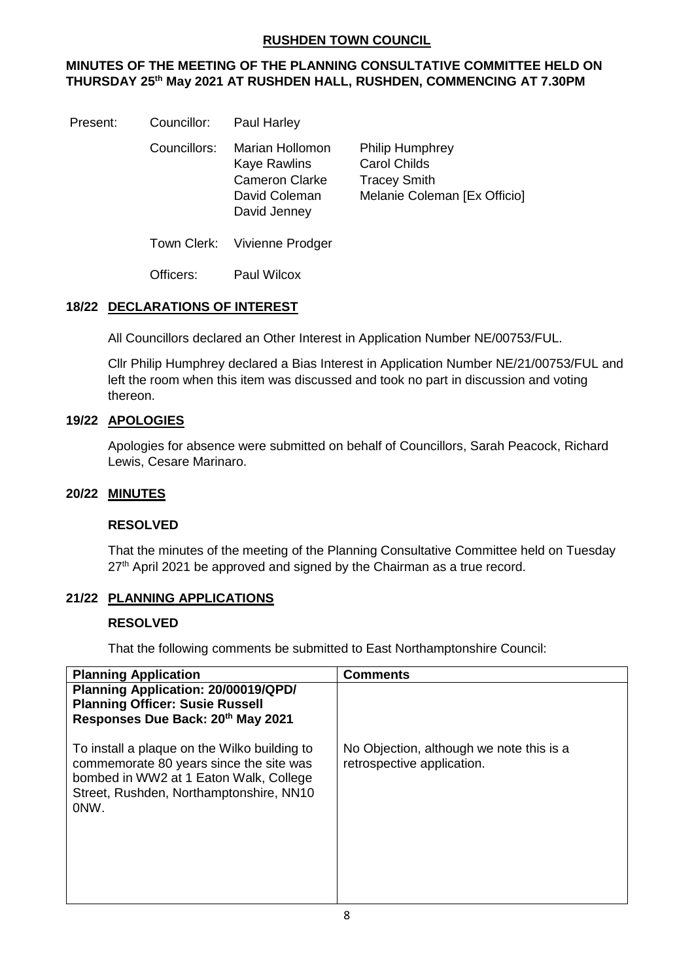# **RUSHDEN TOWN COUNCIL**

# **MINUTES OF THE MEETING OF THE PLANNING CONSULTATIVE COMMITTEE HELD ON THURSDAY 25 th May 2021 AT RUSHDEN HALL, RUSHDEN, COMMENCING AT 7.30PM**

Present: Councillor: Paul Harley

Councillors: Marian Hollomon Philip Humphrey Kaye Rawlins Carol Childs Cameron Clarke Tracey Smith David Jenney

David Coleman Melanie Coleman [Ex Officio]

Town Clerk: Vivienne Prodger

Officers: Paul Wilcox

## **18/22 DECLARATIONS OF INTEREST**

All Councillors declared an Other Interest in Application Number NE/00753/FUL.

Cllr Philip Humphrey declared a Bias Interest in Application Number NE/21/00753/FUL and left the room when this item was discussed and took no part in discussion and voting thereon.

## **19/22 APOLOGIES**

Apologies for absence were submitted on behalf of Councillors, Sarah Peacock, Richard Lewis, Cesare Marinaro.

#### **20/22 MINUTES**

#### **RESOLVED**

That the minutes of the meeting of the Planning Consultative Committee held on Tuesday 27<sup>th</sup> April 2021 be approved and signed by the Chairman as a true record.

# **21/22 PLANNING APPLICATIONS**

#### **RESOLVED**

That the following comments be submitted to East Northamptonshire Council:

| <b>Planning Application</b>                                                                                                                                                          | <b>Comments</b>                                                        |
|--------------------------------------------------------------------------------------------------------------------------------------------------------------------------------------|------------------------------------------------------------------------|
| Planning Application: 20/00019/QPD/<br><b>Planning Officer: Susie Russell</b><br>Responses Due Back: 20th May 2021                                                                   |                                                                        |
| To install a plaque on the Wilko building to<br>commemorate 80 years since the site was<br>bombed in WW2 at 1 Eaton Walk, College<br>Street, Rushden, Northamptonshire, NN10<br>ONW. | No Objection, although we note this is a<br>retrospective application. |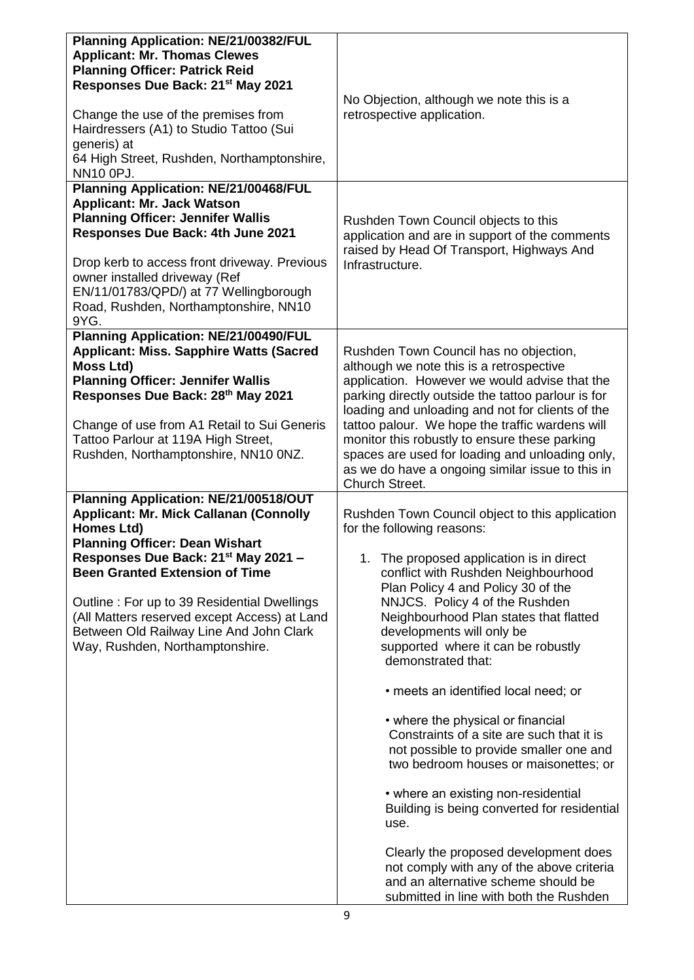| <b>Planning Application: NE/21/00382/FUL</b>                                                                                                                                                                                                                                                                               |                                                                                                                                                                                                                                                                                                                                                                                                                                                          |
|----------------------------------------------------------------------------------------------------------------------------------------------------------------------------------------------------------------------------------------------------------------------------------------------------------------------------|----------------------------------------------------------------------------------------------------------------------------------------------------------------------------------------------------------------------------------------------------------------------------------------------------------------------------------------------------------------------------------------------------------------------------------------------------------|
| <b>Applicant: Mr. Thomas Clewes</b>                                                                                                                                                                                                                                                                                        |                                                                                                                                                                                                                                                                                                                                                                                                                                                          |
| <b>Planning Officer: Patrick Reid</b>                                                                                                                                                                                                                                                                                      |                                                                                                                                                                                                                                                                                                                                                                                                                                                          |
| Responses Due Back: 21 <sup>st</sup> May 2021                                                                                                                                                                                                                                                                              |                                                                                                                                                                                                                                                                                                                                                                                                                                                          |
| Change the use of the premises from<br>Hairdressers (A1) to Studio Tattoo (Sui                                                                                                                                                                                                                                             | No Objection, although we note this is a<br>retrospective application.                                                                                                                                                                                                                                                                                                                                                                                   |
| generis) at<br>64 High Street, Rushden, Northamptonshire,<br>NN10 0PJ.                                                                                                                                                                                                                                                     |                                                                                                                                                                                                                                                                                                                                                                                                                                                          |
| <b>Planning Application: NE/21/00468/FUL</b>                                                                                                                                                                                                                                                                               |                                                                                                                                                                                                                                                                                                                                                                                                                                                          |
| <b>Applicant: Mr. Jack Watson</b>                                                                                                                                                                                                                                                                                          |                                                                                                                                                                                                                                                                                                                                                                                                                                                          |
| <b>Planning Officer: Jennifer Wallis</b>                                                                                                                                                                                                                                                                                   | Rushden Town Council objects to this                                                                                                                                                                                                                                                                                                                                                                                                                     |
| Responses Due Back: 4th June 2021                                                                                                                                                                                                                                                                                          | application and are in support of the comments<br>raised by Head Of Transport, Highways And                                                                                                                                                                                                                                                                                                                                                              |
| Drop kerb to access front driveway. Previous<br>owner installed driveway (Ref<br>EN/11/01783/QPD/) at 77 Wellingborough<br>Road, Rushden, Northamptonshire, NN10                                                                                                                                                           | Infrastructure.                                                                                                                                                                                                                                                                                                                                                                                                                                          |
| 9YG.                                                                                                                                                                                                                                                                                                                       |                                                                                                                                                                                                                                                                                                                                                                                                                                                          |
| <b>Planning Application: NE/21/00490/FUL</b><br><b>Applicant: Miss. Sapphire Watts (Sacred</b><br>Moss Ltd)<br><b>Planning Officer: Jennifer Wallis</b><br>Responses Due Back: 28th May 2021<br>Change of use from A1 Retail to Sui Generis<br>Tattoo Parlour at 119A High Street,<br>Rushden, Northamptonshire, NN10 0NZ. | Rushden Town Council has no objection,<br>although we note this is a retrospective<br>application. However we would advise that the<br>parking directly outside the tattoo parlour is for<br>loading and unloading and not for clients of the<br>tattoo palour. We hope the traffic wardens will<br>monitor this robustly to ensure these parking<br>spaces are used for loading and unloading only,<br>as we do have a ongoing similar issue to this in |
|                                                                                                                                                                                                                                                                                                                            | Church Street.                                                                                                                                                                                                                                                                                                                                                                                                                                           |
| Planning Application: NE/21/00518/OUT<br><b>Applicant: Mr. Mick Callanan (Connolly</b><br>Homes Ltd)<br><b>Planning Officer: Dean Wishart</b>                                                                                                                                                                              | Rushden Town Council object to this application<br>for the following reasons:                                                                                                                                                                                                                                                                                                                                                                            |
| Responses Due Back: 21 <sup>st</sup> May 2021 -<br><b>Been Granted Extension of Time</b><br>Outline: For up to 39 Residential Dwellings<br>(All Matters reserved except Access) at Land<br>Between Old Railway Line And John Clark<br>Way, Rushden, Northamptonshire.                                                      | The proposed application is in direct<br>conflict with Rushden Neighbourhood<br>Plan Policy 4 and Policy 30 of the<br>NNJCS. Policy 4 of the Rushden<br>Neighbourhood Plan states that flatted<br>developments will only be<br>supported where it can be robustly<br>demonstrated that:                                                                                                                                                                  |
|                                                                                                                                                                                                                                                                                                                            | • meets an identified local need; or                                                                                                                                                                                                                                                                                                                                                                                                                     |
|                                                                                                                                                                                                                                                                                                                            | • where the physical or financial<br>Constraints of a site are such that it is<br>not possible to provide smaller one and<br>two bedroom houses or maisonettes; or                                                                                                                                                                                                                                                                                       |
|                                                                                                                                                                                                                                                                                                                            | • where an existing non-residential<br>Building is being converted for residential<br>use.                                                                                                                                                                                                                                                                                                                                                               |
|                                                                                                                                                                                                                                                                                                                            | Clearly the proposed development does<br>not comply with any of the above criteria<br>and an alternative scheme should be<br>submitted in line with both the Rushden                                                                                                                                                                                                                                                                                     |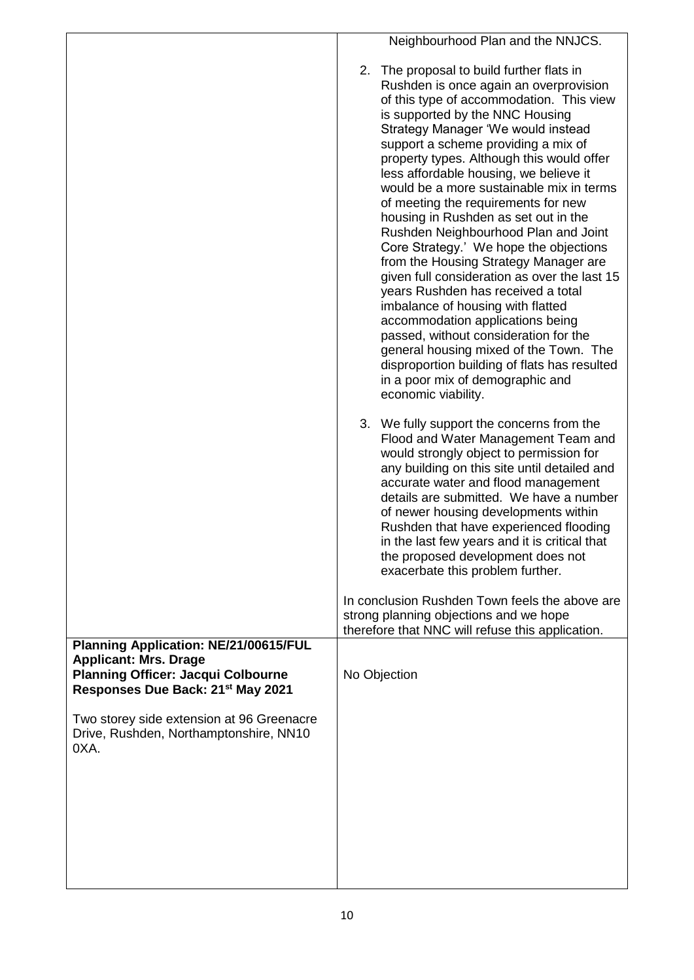| Neighbourhood Plan and the NNJCS.                                                                                                                                                                                                                                                                                                                                                                                                                                                                                                                                                                                                                                                                                                                                                                                                                                                                                                                         |
|-----------------------------------------------------------------------------------------------------------------------------------------------------------------------------------------------------------------------------------------------------------------------------------------------------------------------------------------------------------------------------------------------------------------------------------------------------------------------------------------------------------------------------------------------------------------------------------------------------------------------------------------------------------------------------------------------------------------------------------------------------------------------------------------------------------------------------------------------------------------------------------------------------------------------------------------------------------|
| 2. The proposal to build further flats in<br>Rushden is once again an overprovision<br>of this type of accommodation. This view<br>is supported by the NNC Housing<br>Strategy Manager 'We would instead<br>support a scheme providing a mix of<br>property types. Although this would offer<br>less affordable housing, we believe it<br>would be a more sustainable mix in terms<br>of meeting the requirements for new<br>housing in Rushden as set out in the<br>Rushden Neighbourhood Plan and Joint<br>Core Strategy.' We hope the objections<br>from the Housing Strategy Manager are<br>given full consideration as over the last 15<br>years Rushden has received a total<br>imbalance of housing with flatted<br>accommodation applications being<br>passed, without consideration for the<br>general housing mixed of the Town. The<br>disproportion building of flats has resulted<br>in a poor mix of demographic and<br>economic viability. |
| 3. We fully support the concerns from the<br>Flood and Water Management Team and<br>would strongly object to permission for<br>any building on this site until detailed and<br>accurate water and flood management<br>details are submitted. We have a number<br>of newer housing developments within<br>Rushden that have experienced flooding<br>in the last few years and it is critical that<br>the proposed development does not<br>exacerbate this problem further.                                                                                                                                                                                                                                                                                                                                                                                                                                                                                 |
| In conclusion Rushden Town feels the above are<br>strong planning objections and we hope                                                                                                                                                                                                                                                                                                                                                                                                                                                                                                                                                                                                                                                                                                                                                                                                                                                                  |
| therefore that NNC will refuse this application.<br>No Objection                                                                                                                                                                                                                                                                                                                                                                                                                                                                                                                                                                                                                                                                                                                                                                                                                                                                                          |
|                                                                                                                                                                                                                                                                                                                                                                                                                                                                                                                                                                                                                                                                                                                                                                                                                                                                                                                                                           |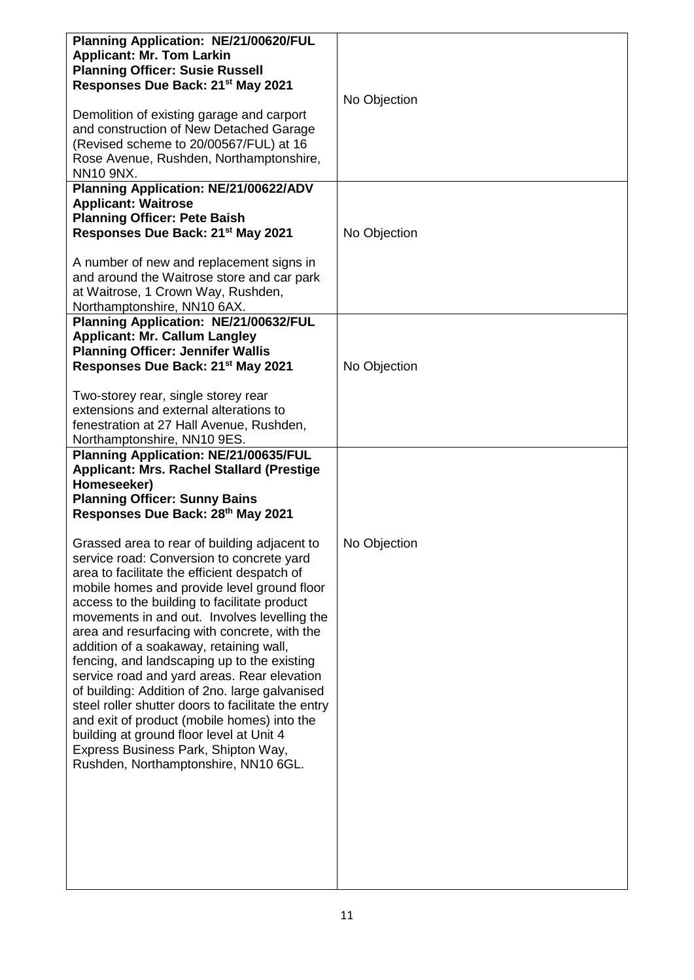| Planning Application: NE/21/00620/FUL<br><b>Applicant: Mr. Tom Larkin</b><br><b>Planning Officer: Susie Russell</b><br>Responses Due Back: 21 <sup>st</sup> May 2021                                                                                                                                                                                                                                                                                                                                                                                                                                                                                                                                                                                                | No Objection |
|---------------------------------------------------------------------------------------------------------------------------------------------------------------------------------------------------------------------------------------------------------------------------------------------------------------------------------------------------------------------------------------------------------------------------------------------------------------------------------------------------------------------------------------------------------------------------------------------------------------------------------------------------------------------------------------------------------------------------------------------------------------------|--------------|
| Demolition of existing garage and carport<br>and construction of New Detached Garage<br>(Revised scheme to 20/00567/FUL) at 16<br>Rose Avenue, Rushden, Northamptonshire,<br><b>NN10 9NX.</b>                                                                                                                                                                                                                                                                                                                                                                                                                                                                                                                                                                       |              |
| Planning Application: NE/21/00622/ADV<br><b>Applicant: Waitrose</b><br><b>Planning Officer: Pete Baish</b><br>Responses Due Back: 21 <sup>st</sup> May 2021                                                                                                                                                                                                                                                                                                                                                                                                                                                                                                                                                                                                         | No Objection |
| A number of new and replacement signs in<br>and around the Waitrose store and car park<br>at Waitrose, 1 Crown Way, Rushden,<br>Northamptonshire, NN10 6AX.                                                                                                                                                                                                                                                                                                                                                                                                                                                                                                                                                                                                         |              |
| Planning Application: NE/21/00632/FUL<br><b>Applicant: Mr. Callum Langley</b><br><b>Planning Officer: Jennifer Wallis</b>                                                                                                                                                                                                                                                                                                                                                                                                                                                                                                                                                                                                                                           |              |
| Responses Due Back: 21 <sup>st</sup> May 2021                                                                                                                                                                                                                                                                                                                                                                                                                                                                                                                                                                                                                                                                                                                       | No Objection |
| Two-storey rear, single storey rear<br>extensions and external alterations to<br>fenestration at 27 Hall Avenue, Rushden,<br>Northamptonshire, NN10 9ES.                                                                                                                                                                                                                                                                                                                                                                                                                                                                                                                                                                                                            |              |
| Planning Application: NE/21/00635/FUL<br>Applicant: Mrs. Rachel Stallard (Prestige<br>Homeseeker)<br><b>Planning Officer: Sunny Bains</b><br>Responses Due Back: 28th May 2021                                                                                                                                                                                                                                                                                                                                                                                                                                                                                                                                                                                      |              |
| Grassed area to rear of building adjacent to<br>service road: Conversion to concrete yard<br>area to facilitate the efficient despatch of<br>mobile homes and provide level ground floor<br>access to the building to facilitate product<br>movements in and out. Involves levelling the<br>area and resurfacing with concrete, with the<br>addition of a soakaway, retaining wall,<br>fencing, and landscaping up to the existing<br>service road and yard areas. Rear elevation<br>of building: Addition of 2no. large galvanised<br>steel roller shutter doors to facilitate the entry<br>and exit of product (mobile homes) into the<br>building at ground floor level at Unit 4<br>Express Business Park, Shipton Way,<br>Rushden, Northamptonshire, NN10 6GL. | No Objection |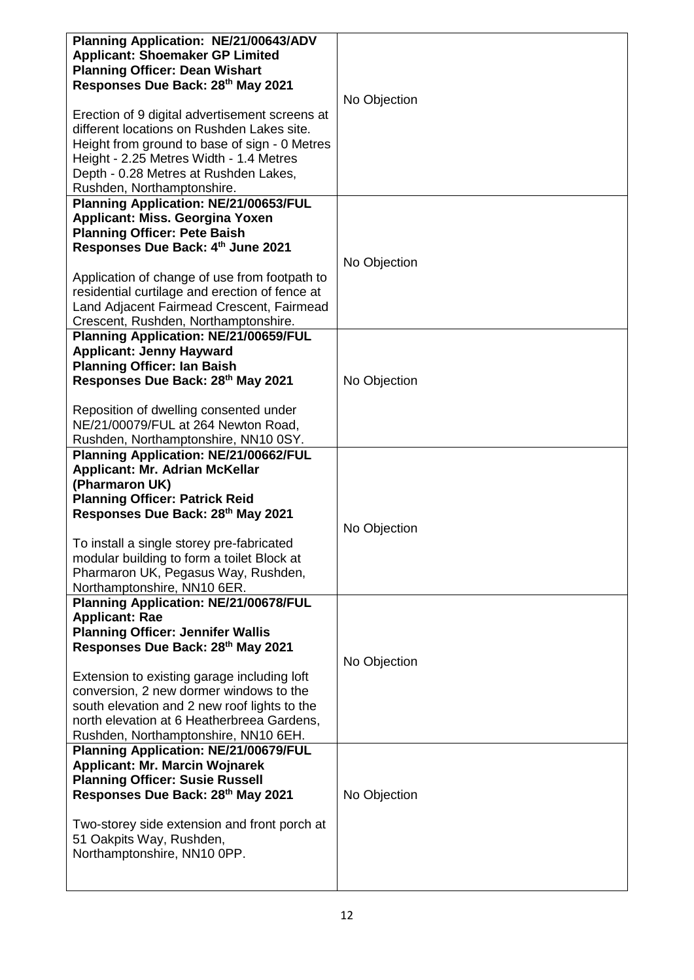| Planning Application: NE/21/00643/ADV<br><b>Applicant: Shoemaker GP Limited</b><br><b>Planning Officer: Dean Wishart</b><br>Responses Due Back: 28th May 2021                                                                                                   | No Objection |
|-----------------------------------------------------------------------------------------------------------------------------------------------------------------------------------------------------------------------------------------------------------------|--------------|
| Erection of 9 digital advertisement screens at<br>different locations on Rushden Lakes site.<br>Height from ground to base of sign - 0 Metres<br>Height - 2.25 Metres Width - 1.4 Metres<br>Depth - 0.28 Metres at Rushden Lakes,<br>Rushden, Northamptonshire. |              |
| Planning Application: NE/21/00653/FUL<br>Applicant: Miss. Georgina Yoxen                                                                                                                                                                                        |              |
| <b>Planning Officer: Pete Baish</b>                                                                                                                                                                                                                             |              |
| Responses Due Back: 4th June 2021                                                                                                                                                                                                                               | No Objection |
| Application of change of use from footpath to<br>residential curtilage and erection of fence at<br>Land Adjacent Fairmead Crescent, Fairmead                                                                                                                    |              |
| Crescent, Rushden, Northamptonshire.<br>Planning Application: NE/21/00659/FUL                                                                                                                                                                                   |              |
| <b>Applicant: Jenny Hayward</b>                                                                                                                                                                                                                                 |              |
| <b>Planning Officer: Ian Baish</b>                                                                                                                                                                                                                              |              |
| Responses Due Back: 28th May 2021                                                                                                                                                                                                                               | No Objection |
| Reposition of dwelling consented under<br>NE/21/00079/FUL at 264 Newton Road,<br>Rushden, Northamptonshire, NN10 0SY.                                                                                                                                           |              |
| Planning Application: NE/21/00662/FUL                                                                                                                                                                                                                           |              |
| <b>Applicant: Mr. Adrian McKellar</b><br>(Pharmaron UK)                                                                                                                                                                                                         |              |
| <b>Planning Officer: Patrick Reid</b><br>Responses Due Back: 28th May 2021                                                                                                                                                                                      |              |
|                                                                                                                                                                                                                                                                 | No Objection |
| To install a single storey pre-fabricated<br>modular building to form a toilet Block at<br>Pharmaron UK, Pegasus Way, Rushden,<br>Northamptonshire, NN10 6ER.                                                                                                   |              |
| Planning Application: NE/21/00678/FUL                                                                                                                                                                                                                           |              |
| <b>Applicant: Rae</b><br><b>Planning Officer: Jennifer Wallis</b>                                                                                                                                                                                               |              |
| Responses Due Back: 28th May 2021                                                                                                                                                                                                                               | No Objection |
| Extension to existing garage including loft<br>conversion, 2 new dormer windows to the                                                                                                                                                                          |              |
| south elevation and 2 new roof lights to the                                                                                                                                                                                                                    |              |
| north elevation at 6 Heatherbreea Gardens,                                                                                                                                                                                                                      |              |
| Rushden, Northamptonshire, NN10 6EH.                                                                                                                                                                                                                            |              |
| <b>Planning Application: NE/21/00679/FUL</b><br><b>Applicant: Mr. Marcin Wojnarek</b>                                                                                                                                                                           |              |
| <b>Planning Officer: Susie Russell</b>                                                                                                                                                                                                                          |              |
| Responses Due Back: 28th May 2021                                                                                                                                                                                                                               | No Objection |
| Two-storey side extension and front porch at<br>51 Oakpits Way, Rushden,<br>Northamptonshire, NN10 0PP.                                                                                                                                                         |              |
|                                                                                                                                                                                                                                                                 |              |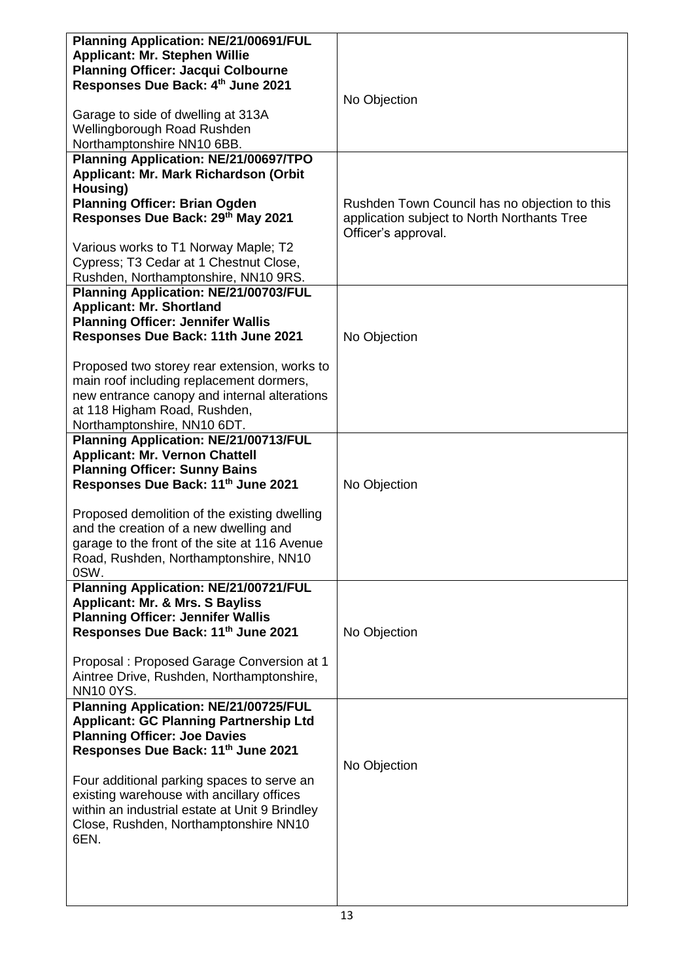| Planning Application: NE/21/00691/FUL<br><b>Applicant: Mr. Stephen Willie</b>          |                                                                                                                     |
|----------------------------------------------------------------------------------------|---------------------------------------------------------------------------------------------------------------------|
| <b>Planning Officer: Jacqui Colbourne</b>                                              |                                                                                                                     |
| Responses Due Back: 4th June 2021                                                      |                                                                                                                     |
| Garage to side of dwelling at 313A                                                     | No Objection                                                                                                        |
| Wellingborough Road Rushden                                                            |                                                                                                                     |
| Northamptonshire NN10 6BB.                                                             |                                                                                                                     |
| Planning Application: NE/21/00697/TPO                                                  |                                                                                                                     |
| Applicant: Mr. Mark Richardson (Orbit                                                  |                                                                                                                     |
| Housing)                                                                               |                                                                                                                     |
| <b>Planning Officer: Brian Ogden</b><br>Responses Due Back: 29th May 2021              | Rushden Town Council has no objection to this<br>application subject to North Northants Tree<br>Officer's approval. |
| Various works to T1 Norway Maple; T2                                                   |                                                                                                                     |
| Cypress; T3 Cedar at 1 Chestnut Close,                                                 |                                                                                                                     |
| Rushden, Northamptonshire, NN10 9RS.                                                   |                                                                                                                     |
| Planning Application: NE/21/00703/FUL                                                  |                                                                                                                     |
| <b>Applicant: Mr. Shortland</b>                                                        |                                                                                                                     |
| <b>Planning Officer: Jennifer Wallis</b>                                               |                                                                                                                     |
| Responses Due Back: 11th June 2021                                                     | No Objection                                                                                                        |
| Proposed two storey rear extension, works to                                           |                                                                                                                     |
| main roof including replacement dormers,                                               |                                                                                                                     |
| new entrance canopy and internal alterations                                           |                                                                                                                     |
| at 118 Higham Road, Rushden,                                                           |                                                                                                                     |
| Northamptonshire, NN10 6DT.                                                            |                                                                                                                     |
| Planning Application: NE/21/00713/FUL<br><b>Applicant: Mr. Vernon Chattell</b>         |                                                                                                                     |
| <b>Planning Officer: Sunny Bains</b>                                                   |                                                                                                                     |
| Responses Due Back: 11th June 2021                                                     | No Objection                                                                                                        |
|                                                                                        |                                                                                                                     |
| Proposed demolition of the existing dwelling                                           |                                                                                                                     |
| and the creation of a new dwelling and                                                 |                                                                                                                     |
| garage to the front of the site at 116 Avenue<br>Road, Rushden, Northamptonshire, NN10 |                                                                                                                     |
| 0SW.                                                                                   |                                                                                                                     |
| Planning Application: NE/21/00721/FUL                                                  |                                                                                                                     |
| <b>Applicant: Mr. &amp; Mrs. S Bayliss</b>                                             |                                                                                                                     |
| <b>Planning Officer: Jennifer Wallis</b>                                               |                                                                                                                     |
| Responses Due Back: 11th June 2021                                                     | No Objection                                                                                                        |
| Proposal: Proposed Garage Conversion at 1                                              |                                                                                                                     |
| Aintree Drive, Rushden, Northamptonshire,                                              |                                                                                                                     |
| <b>NN10 0YS.</b>                                                                       |                                                                                                                     |
| Planning Application: NE/21/00725/FUL                                                  |                                                                                                                     |
| <b>Applicant: GC Planning Partnership Ltd</b>                                          |                                                                                                                     |
| <b>Planning Officer: Joe Davies</b><br>Responses Due Back: 11th June 2021              |                                                                                                                     |
|                                                                                        | No Objection                                                                                                        |
| Four additional parking spaces to serve an                                             |                                                                                                                     |
| existing warehouse with ancillary offices                                              |                                                                                                                     |
| within an industrial estate at Unit 9 Brindley                                         |                                                                                                                     |
| Close, Rushden, Northamptonshire NN10                                                  |                                                                                                                     |
| 6EN.                                                                                   |                                                                                                                     |
|                                                                                        |                                                                                                                     |
|                                                                                        |                                                                                                                     |